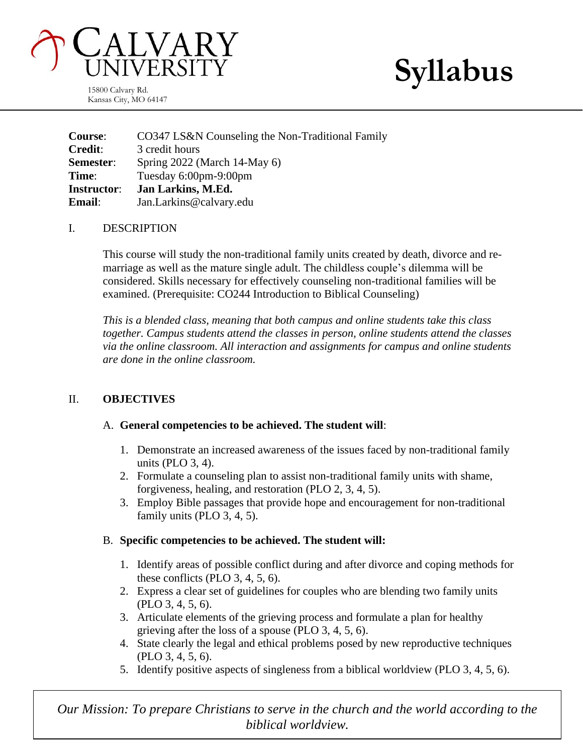

**Syllabus**

15800 Calvary Rd. Kansas City, MO 64147

**Course**: CO347 LS&N Counseling the Non-Traditional Family **Credit**: 3 credit hours **Semester**: Spring 2022 (March 14-May 6) **Time**: Tuesday 6:00pm-9:00pm **Instructor**: **Jan Larkins, M.Ed. Email**: Jan.Larkins@calvary.edu

### I. DESCRIPTION

This course will study the non-traditional family units created by death, divorce and remarriage as well as the mature single adult. The childless couple's dilemma will be considered. Skills necessary for effectively counseling non-traditional families will be examined. (Prerequisite: CO244 Introduction to Biblical Counseling)

*This is a blended class, meaning that both campus and online students take this class together. Campus students attend the classes in person, online students attend the classes via the online classroom. All interaction and assignments for campus and online students are done in the online classroom.*

# II. **OBJECTIVES**

# A. **General competencies to be achieved. The student will**:

- 1. Demonstrate an increased awareness of the issues faced by non-traditional family units (PLO 3, 4).
- 2. Formulate a counseling plan to assist non-traditional family units with shame, forgiveness, healing, and restoration (PLO 2, 3, 4, 5).
- 3. Employ Bible passages that provide hope and encouragement for non-traditional family units (PLO 3, 4, 5).

# B. **Specific competencies to be achieved. The student will:**

- 1. Identify areas of possible conflict during and after divorce and coping methods for these conflicts (PLO 3, 4, 5, 6).
- 2. Express a clear set of guidelines for couples who are blending two family units (PLO 3, 4, 5, 6).
- 3. Articulate elements of the grieving process and formulate a plan for healthy grieving after the loss of a spouse (PLO 3, 4, 5, 6).
- 4. State clearly the legal and ethical problems posed by new reproductive techniques (PLO 3, 4, 5, 6).
- 5. Identify positive aspects of singleness from a biblical worldview (PLO 3, 4, 5, 6).

*Our Mission: To prepare Christians to serve in the church and the world according to the biblical worldview.*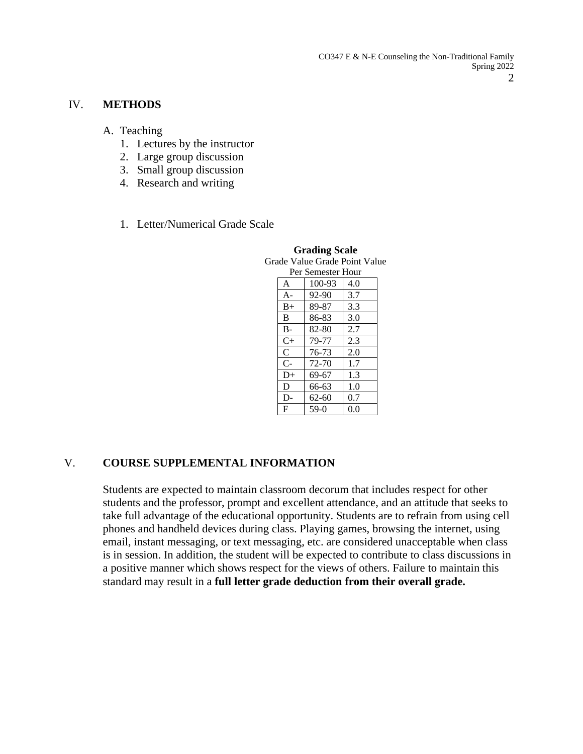CO347 E & N-E Counseling the Non-Traditional Family Spring 2022 2

#### IV. **METHODS**

- A. Teaching
	- 1. Lectures by the instructor
	- 2. Large group discussion
	- 3. Small group discussion
	- 4. Research and writing
	- 1. Letter/Numerical Grade Scale

| rade Value Grade Point Valu |              |           |     |
|-----------------------------|--------------|-----------|-----|
| Per Semester Hour           |              |           |     |
|                             | A            | 100-93    | 4.0 |
|                             | $A-$         | 92-90     | 3.7 |
|                             | $B+$         | 89-87     | 3.3 |
|                             | B            | 86-83     | 3.0 |
|                             | $B -$        | 82-80     | 2.7 |
|                             | $C+$         | 79-77     | 2.3 |
|                             | $\mathsf{C}$ | 76-73     | 2.0 |
|                             | $C -$        | 72-70     | 1.7 |
|                             | $D+$         | 69-67     | 1.3 |
|                             | D            | 66-63     | 1.0 |
|                             | D.           | $62 - 60$ | 0.7 |
|                             | F            | $59-0$    | 0.0 |

**Grading Scale** Grade Value Grade Point Value

#### V. **COURSE SUPPLEMENTAL INFORMATION**

Students are expected to maintain classroom decorum that includes respect for other students and the professor, prompt and excellent attendance, and an attitude that seeks to take full advantage of the educational opportunity. Students are to refrain from using cell phones and handheld devices during class. Playing games, browsing the internet, using email, instant messaging, or text messaging, etc. are considered unacceptable when class is in session. In addition, the student will be expected to contribute to class discussions in a positive manner which shows respect for the views of others. Failure to maintain this standard may result in a **full letter grade deduction from their overall grade.**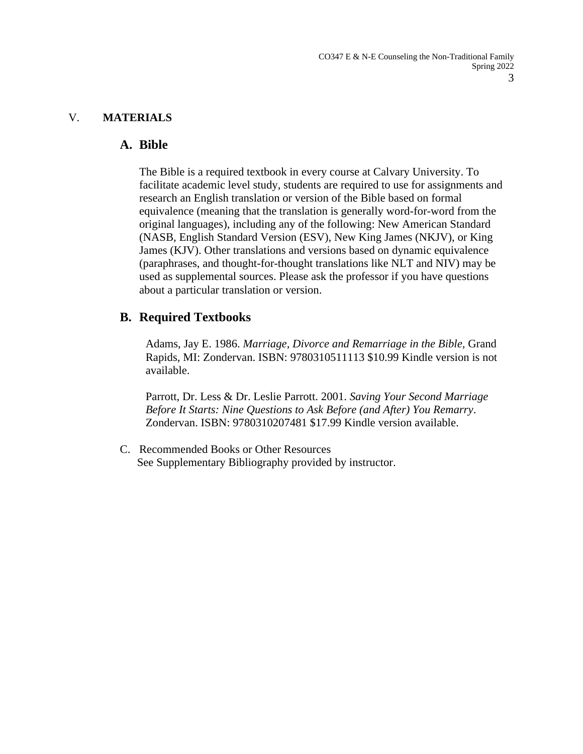### V. **MATERIALS**

### **A. Bible**

The Bible is a required textbook in every course at Calvary University. To facilitate academic level study, students are required to use for assignments and research an English translation or version of the Bible based on formal equivalence (meaning that the translation is generally word-for-word from the original languages), including any of the following: New American Standard (NASB, English Standard Version (ESV), New King James (NKJV), or King James (KJV). Other translations and versions based on dynamic equivalence (paraphrases, and thought-for-thought translations like NLT and NIV) may be used as supplemental sources. Please ask the professor if you have questions about a particular translation or version.

# **B. Required Textbooks**

Adams, Jay E. 1986. *Marriage*, *Divorce and Remarriage in the Bible,* Grand Rapids, MI: Zondervan. ISBN: 9780310511113 \$10.99 Kindle version is not available.

Parrott, Dr. Less & Dr. Leslie Parrott. 2001. *Saving Your Second Marriage Before It Starts: Nine Questions to Ask Before (and After) You Remarry*. Zondervan. ISBN: 9780310207481 \$17.99 Kindle version available.

C. Recommended Books or Other Resources See Supplementary Bibliography provided by instructor.